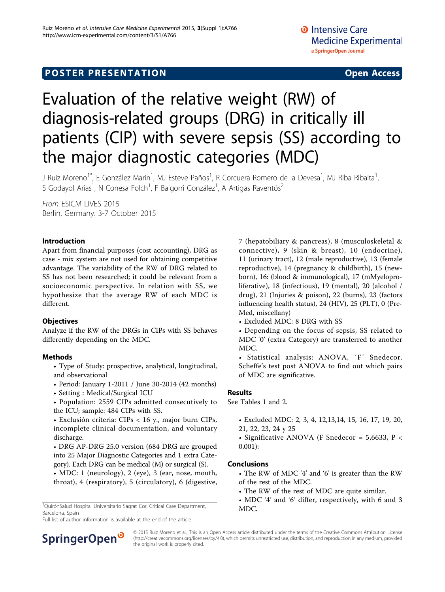# **POSTER PRESENTATION CONSUMING ACCESS**

# Evaluation of the relative weight (RW) of diagnosis-related groups (DRG) in critically ill patients (CIP) with severe sepsis (SS) according to the major diagnostic categories (MDC)

J Ruiz Moreno<sup>1\*</sup>, E González Marín<sup>1</sup>, MJ Esteve Paños<sup>1</sup>, R Corcuera Romero de la Devesa<sup>1</sup>, MJ Riba Ribalta<sup>1</sup> , S Godayol Arias<sup>1</sup>, N Conesa Folch<sup>1</sup>, F Baigorri González<sup>1</sup>, A Artigas Raventós<sup>2</sup>

From ESICM LIVES 2015 Berlin, Germany. 3-7 October 2015

## Introduction

Apart from financial purposes (cost accounting), DRG as case - mix system are not used for obtaining competitive advantage. The variability of the RW of DRG related to SS has not been researched; it could be relevant from a socioeconomic perspective. In relation with SS, we hypothesize that the average RW of each MDC is different.

## **Objectives**

Analyze if the RW of the DRGs in CIPs with SS behaves differently depending on the MDC.

## Methods

- Type of Study: prospective, analytical, longitudinal, and observational
- Period: January 1-2011 / June 30-2014 (42 months)
- Setting : Medical/Surgical ICU
- Population: 2559 CIPs admitted consecutively to the ICU; sample: 484 CIPs with SS.

• Exclusión criteria: CIPs < 16 y., major burn CIPs, incomplete clinical documentation, and voluntary discharge.

• DRG AP-DRG 25.0 version (684 DRG are grouped into 25 Major Diagnostic Categories and 1 extra Category). Each DRG can be medical (M) or surgical (S).

• MDC: 1 (neurology), 2 (eye), 3 (ear, nose, mouth, throat), 4 (respiratory), 5 (circulatory), 6 (digestive,

<sup>1</sup>QuirónSalud Hospital Universitario Sagrat Cor, Critical Care Department, MDC. Barcelona, Spain

Full list of author information is available at the end of the article



• Excluded MDC: 8 DRG with SS

• Depending on the focus of sepsis, SS related to MDC '0' (extra Category) are transferred to another MDC.

• Statistical analysis: ANOVA, ´F´ Snedecor. Scheffe's test post ANOVA to find out which pairs of MDC are significative.

#### Results

See Tables [1](#page-1-0) and [2.](#page-1-0)

• Excluded MDC: 2, 3, 4, 12,13,14, 15, 16, 17, 19, 20, 21, 22, 23, 24 y 25

• Significative ANOVA (F Snedecor = 5,6633, P < 0,001):

## Conclusions

- The RW of MDC '4' and '6' is greater than the RW of the rest of the MDC.
- The RW of the rest of MDC are quite similar.
- MDC '4' and '6' differ, respectively, with 6 and 3



© 2015 Ruiz Moreno et al.; This is an Open Access article distributed under the terms of the Creative Commons Attribution License [\(http://creativecommons.org/licenses/by/4.0](http://creativecommons.org/licenses/by/4.0)), which permits unrestricted use, distribution, and reproduction in any medium, provided the original work is properly cited.